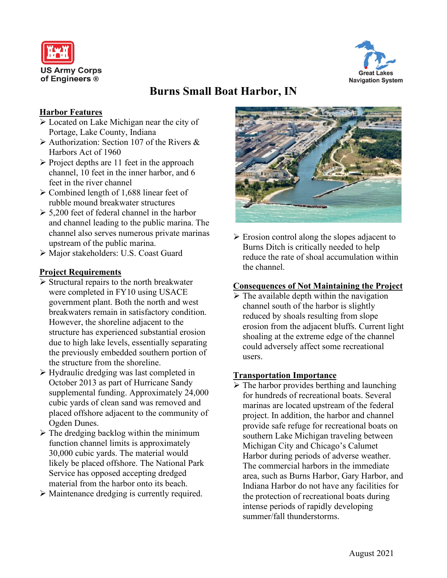



# **Burns Small Boat Harbor, IN**

# **Harbor Features**

- Located on Lake Michigan near the city of Portage, Lake County, Indiana
- $\triangleright$  Authorization: Section 107 of the Rivers & Harbors Act of 1960
- $\triangleright$  Project depths are 11 feet in the approach channel, 10 feet in the inner harbor, and 6 feet in the river channel
- $\geq$  Combined length of 1,688 linear feet of rubble mound breakwater structures
- $\geq 5,200$  feet of federal channel in the harbor and channel leading to the public marina. The channel also serves numerous private marinas upstream of the public marina.
- Major stakeholders: U.S. Coast Guard

### **Project Requirements**

- $\triangleright$  Structural repairs to the north breakwater were completed in FY10 using USACE government plant. Both the north and west breakwaters remain in satisfactory condition. However, the shoreline adjacent to the structure has experienced substantial erosion due to high lake levels, essentially separating the previously embedded southern portion of the structure from the shoreline.
- Hydraulic dredging was last completed in October 2013 as part of Hurricane Sandy supplemental funding. Approximately 24,000 cubic yards of clean sand was removed and placed offshore adjacent to the community of Ogden Dunes.
- $\triangleright$  The dredging backlog within the minimum function channel limits is approximately 30,000 cubic yards. The material would likely be placed offshore. The National Park Service has opposed accepting dredged material from the harbor onto its beach.
- Maintenance dredging is currently required.



 $\triangleright$  Erosion control along the slopes adjacent to Burns Ditch is critically needed to help reduce the rate of shoal accumulation within the channel.

# **Consequences of Not Maintaining the Project**

 $\triangleright$  The available depth within the navigation channel south of the harbor is slightly reduced by shoals resulting from slope erosion from the adjacent bluffs. Current light shoaling at the extreme edge of the channel could adversely affect some recreational users.

#### **Transportation Importance**

 $\triangleright$  The harbor provides berthing and launching for hundreds of recreational boats. Several marinas are located upstream of the federal project. In addition, the harbor and channel provide safe refuge for recreational boats on southern Lake Michigan traveling between Michigan City and Chicago's Calumet Harbor during periods of adverse weather. The commercial harbors in the immediate area, such as Burns Harbor, Gary Harbor, and Indiana Harbor do not have any facilities for the protection of recreational boats during intense periods of rapidly developing summer/fall thunderstorms.